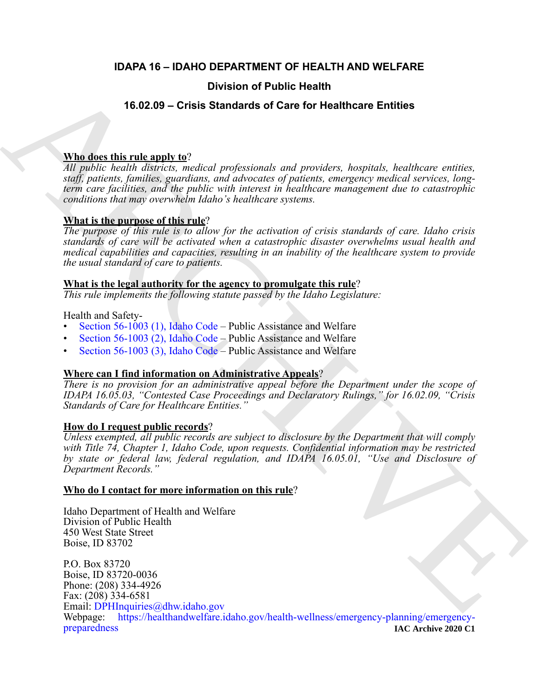# **IDAPA 16 – IDAHO DEPARTMENT OF HEALTH AND WELFARE**

# **Division of Public Health**

# **16.02.09 – Crisis Standards of Care for Healthcare Entities**

# **Who does this rule apply to**?

*All public health districts, medical professionals and providers, hospitals, healthcare entities, staff, patients, families, guardians, and advocates of patients, emergency medical services, longterm care facilities, and the public with interest in healthcare management due to catastrophic conditions that may overwhelm Idaho's healthcare systems.*

# **What is the purpose of this rule**?

*The purpose of this rule is to allow for the activation of crisis standards of care. Idaho crisis standards of care will be activated when a catastrophic disaster overwhelms usual health and medical capabilities and capacities, resulting in an inability of the healthcare system to provide the usual standard of care to patients.* 

### **What is the legal authority for the agency to promulgate this rule**?

*This rule implements the following statute passed by the Idaho Legislature:*

# Health and Safety-

- Section 56-1003 (1), Idaho Code Public Assistance and Welfare
- Section 56-1003 (2), Idaho Code Public Assistance and Welfare
- Section 56-1003 (3), Idaho Code Public Assistance and Welfare

# **Where can I find information on Administrative Appeals**?

*There is no provision for an administrative appeal before the Department under the scope of IDAPA 16.05.03, "Contested Case Proceedings and Declaratory Rulings," for 16.02.09, "Crisis Standards of Care for Healthcare Entities."*

# **How do I request public records**?

*Unless exempted, all public records are subject to disclosure by the Department that will comply with Title 74, Chapter 1, Idaho Code, upon requests. Confidential information may be restricted by state or federal law, federal regulation, and IDAPA 16.05.01, "Use and Disclosure of Department Records."*

# **Who do I contact for more information on this rule**?

Idaho Department of Health and Welfare Division of Public Health 450 West State Street Boise, ID 83702

**19.602.09 – Crisis Standards of Care for Healthcare [E](mailto:DPHInquiries@dhw.idaho.gov)ntitles<br>
The dost this rule angle to:**<br>  $\frac{\text{Whic}}{\text{M}}$  angle  $\frac{\text{h}}{\text{h}}$  angle  $\frac{\text{h}}{\text{h}}$  and  $\frac{\text{h}}{\text{h}}$  and  $\frac{\text{h}}{\text{h}}$  and  $\frac{\text{h}}{\text{h}}$  and  $\frac{\text{h}}$ P.O. Box 83720 Boise, ID 83720-0036 Phone: (208) 334-4926 Fax: (208) 334-6581 Email: DPHInquiries@dhw.idaho.gov Webpage: [https://healthandwelfare.idaho.gov/health-wellness/emergency-planning/emergency](https://healthandwelfare.idaho.gov/health-wellness/emergency-planning/emergency-preparedness)[preparedness](https://healthandwelfare.idaho.gov/health-wellness/emergency-planning/emergency-preparedness) **IAC Archive 2020 C1**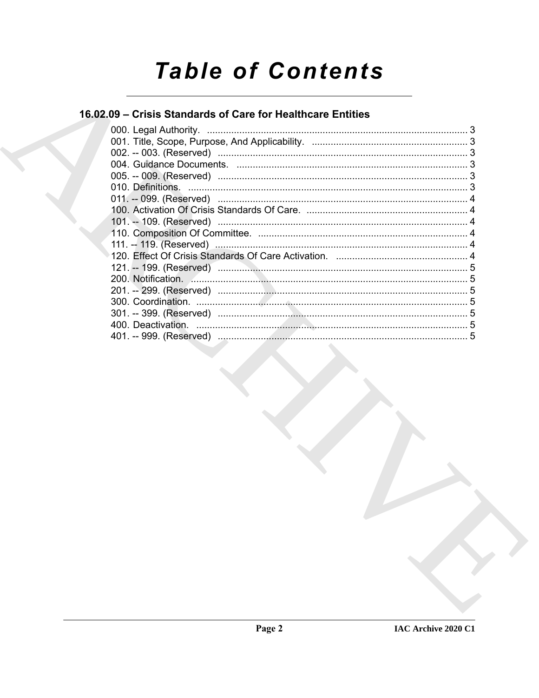# **Table of Contents**

# 16.02.09 - Crisis Standards of Care for Healthcare Entities

| 000. Legal Authority. |  |
|-----------------------|--|
|                       |  |
|                       |  |
|                       |  |
|                       |  |
|                       |  |
|                       |  |
|                       |  |
|                       |  |
|                       |  |
|                       |  |
|                       |  |
|                       |  |
|                       |  |
|                       |  |
|                       |  |
|                       |  |
|                       |  |
|                       |  |
|                       |  |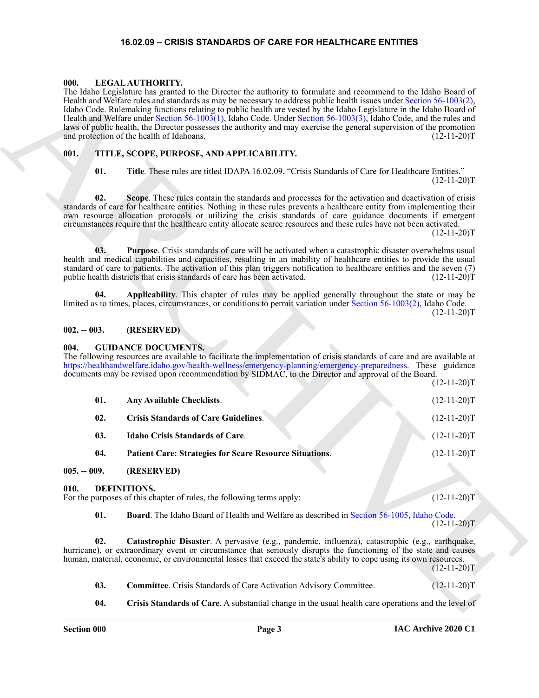#### **16.02.09 – CRISIS STANDARDS OF CARE FOR HEALTHCARE ENTITIES**

#### <span id="page-2-17"></span><span id="page-2-1"></span><span id="page-2-0"></span>**000. LEGAL AUTHORITY.**

#### <span id="page-2-18"></span><span id="page-2-2"></span>**001. TITLE, SCOPE, PURPOSE, AND APPLICABILITY.**

#### <span id="page-2-3"></span>**002. -- 003. (RESERVED)**

#### <span id="page-2-16"></span><span id="page-2-15"></span><span id="page-2-14"></span><span id="page-2-13"></span><span id="page-2-12"></span><span id="page-2-4"></span>**004. GUIDANCE DOCUMENTS.**

| 000.          | LEGAL AUTHORITY.<br>The Idaho Legislature has granted to the Director the authority to formulate and recommend to the Idaho Board of<br>Health and Welfare rules and standards as may be necessary to address public health issues under Section 56-1003(2),<br>Idaho Code. Rulemaking functions relating to public health are vested by the Idaho Legislature in the Idaho Board of<br>Health and Welfare under Section 56-1003(1), Idaho Code. Under Section 56-1003(3), Idaho Code, and the rules and<br>laws of public health, the Director possesses the authority and may exercise the general supervision of the promotion<br>and protection of the health of Idahoans.<br>$(12-11-20)T$ |               |  |  |
|---------------|-------------------------------------------------------------------------------------------------------------------------------------------------------------------------------------------------------------------------------------------------------------------------------------------------------------------------------------------------------------------------------------------------------------------------------------------------------------------------------------------------------------------------------------------------------------------------------------------------------------------------------------------------------------------------------------------------|---------------|--|--|
| 001.          | TITLE, SCOPE, PURPOSE, AND APPLICABILITY.                                                                                                                                                                                                                                                                                                                                                                                                                                                                                                                                                                                                                                                       |               |  |  |
| 01.           | Title. These rules are titled IDAPA 16.02.09, "Crisis Standards of Care for Healthcare Entities."                                                                                                                                                                                                                                                                                                                                                                                                                                                                                                                                                                                               | $(12-11-20)T$ |  |  |
| 02.           | Scope. These rules contain the standards and processes for the activation and deactivation of crisis<br>standards of care for healthcare entities. Nothing in these rules prevents a healthcare entity from implementing their<br>own resource allocation protocols or utilizing the crisis standards of care guidance documents if emergent<br>circumstances require that the healthcare entity allocate scarce resources and these rules have not been activated.                                                                                                                                                                                                                             | $(12-11-20)T$ |  |  |
| 03.           | Purpose. Crisis standards of care will be activated when a catastrophic disaster overwhelms usual<br>health and medical capabilities and capacities, resulting in an inability of healthcare entities to provide the usual<br>standard of care to patients. The activation of this plan triggers notification to healthcare entities and the seven (7)<br>public health districts that crisis standards of care has been activated.                                                                                                                                                                                                                                                             | $(12-11-20)T$ |  |  |
| 04.           | Applicability. This chapter of rules may be applied generally throughout the state or may be<br>limited as to times, places, circumstances, or conditions to permit variation under Section 56-1003(2), Idaho Code.                                                                                                                                                                                                                                                                                                                                                                                                                                                                             | $(12-11-20)T$ |  |  |
| $002. - 003.$ | (RESERVED)                                                                                                                                                                                                                                                                                                                                                                                                                                                                                                                                                                                                                                                                                      |               |  |  |
| 004.          | <b>GUIDANCE DOCUMENTS.</b><br>The following resources are available to facilitate the implementation of crisis standards of care and are available at<br>https://healthandwelfare.idaho.gov/health-wellness/emergency-planning/emergency-preparedness. These guidance<br>documents may be revised upon recommendation by SIDMAC, to the Director and approval of the Board.                                                                                                                                                                                                                                                                                                                     | $(12-11-20)T$ |  |  |
| 01.           | Any Available Checklists.                                                                                                                                                                                                                                                                                                                                                                                                                                                                                                                                                                                                                                                                       | $(12-11-20)T$ |  |  |
| 02.           | <b>Crisis Standards of Care Guidelines.</b>                                                                                                                                                                                                                                                                                                                                                                                                                                                                                                                                                                                                                                                     | $(12-11-20)T$ |  |  |
| 03.           | <b>Idaho Crisis Standards of Care.</b>                                                                                                                                                                                                                                                                                                                                                                                                                                                                                                                                                                                                                                                          | $(12-11-20)T$ |  |  |
| 04.           | Patient Care: Strategies for Scare Resource Situations.                                                                                                                                                                                                                                                                                                                                                                                                                                                                                                                                                                                                                                         | $(12-11-20)T$ |  |  |
| $005. - 009.$ | (RESERVED)                                                                                                                                                                                                                                                                                                                                                                                                                                                                                                                                                                                                                                                                                      |               |  |  |
| 010.          | DEFINITIONS.<br>For the purposes of this chapter of rules, the following terms apply:                                                                                                                                                                                                                                                                                                                                                                                                                                                                                                                                                                                                           | $(12-11-20)T$ |  |  |
| 01.           | Board. The Idaho Board of Health and Welfare as described in Section 56-1005, Idaho Code.                                                                                                                                                                                                                                                                                                                                                                                                                                                                                                                                                                                                       | $(12-11-20)T$ |  |  |
| 02.           | Catastrophic Disaster. A pervasive (e.g., pandemic, influenza), catastrophic (e.g., earthquake,<br>hurricane), or extraordinary event or circumstance that seriously disrupts the functioning of the state and causes<br>human, material, economic, or environmental losses that exceed the state's ability to cope using its own resources.                                                                                                                                                                                                                                                                                                                                                    | $(12-11-20)T$ |  |  |
| 03.           | <b>Committee.</b> Crisis Standards of Care Activation Advisory Committee.                                                                                                                                                                                                                                                                                                                                                                                                                                                                                                                                                                                                                       | $(12-11-20)T$ |  |  |
| 04.           | Crisis Standards of Care. A substantial change in the usual health care operations and the level of                                                                                                                                                                                                                                                                                                                                                                                                                                                                                                                                                                                             |               |  |  |

- <span id="page-2-10"></span><span id="page-2-9"></span><span id="page-2-8"></span><span id="page-2-7"></span><span id="page-2-6"></span><span id="page-2-5"></span>**03.** Committee. Crisis Standards of Care Activation Advisory Committee.  $(12{\text -}11{\text -}20)\text{T}$
- <span id="page-2-11"></span>**04. Crisis Standards of Care**. A substantial change in the usual health care operations and the level of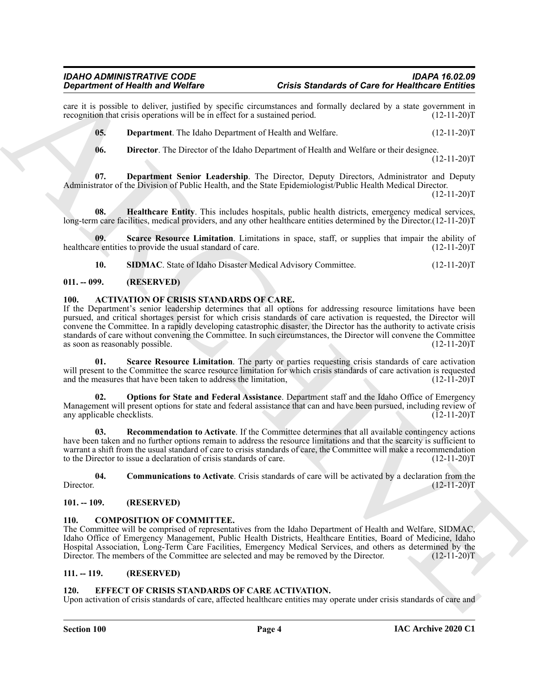#### *IDAHO ADMINISTRATIVE CODE IDAPA 16.02.09 Department of Health and Welfare Crisis Standards of Care for Healthcare Entities*

care it is possible to deliver, justified by specific circumstances and formally declared by a state government in recognition that crisis operations will be in effect for a sustained period. (12-11-20) recognition that crisis operations will be in effect for a sustained period.

<span id="page-3-12"></span>**05. Department**. The Idaho Department of Health and Welfare. (12-11-20)T

<span id="page-3-15"></span><span id="page-3-14"></span><span id="page-3-13"></span>**06. Director**. The Director of the Idaho Department of Health and Welfare or their designee. (12-11-20)T

**07. Department Senior Leadership**. The Director, Deputy Directors, Administrator and Deputy Administrator of the Division of Public Health, and the State Epidemiologist/Public Health Medical Director. (12-11-20)T

**08. Healthcare Entity**. This includes hospitals, public health districts, emergency medical services, long-term care facilities, medical providers, and any other healthcare entities determined by the Director.(12-11-20)T

**09.** Scarce Resource Limitation. Limitations in space, staff, or supplies that impair the ability of re entities to provide the usual standard of care. (12-11-20) healthcare entities to provide the usual standard of care.

<span id="page-3-17"></span><span id="page-3-16"></span><span id="page-3-6"></span>**10. SIDMAC**. State of Idaho Disaster Medical Advisory Committee. (12-11-20)T

#### <span id="page-3-0"></span>**011. -- 099. (RESERVED)**

#### <span id="page-3-1"></span>**100. ACTIVATION OF CRISIS STANDARDS OF CARE.**

Gradiente of Health and Wolfer.<br>
The material of the state and the state and state and state and state and state and state and state and state and state and state and state and state and state and state and state and stat If the Department's senior leadership determines that all options for addressing resource limitations have been pursued, and critical shortages persist for which crisis standards of care activation is requested, the Director will convene the Committee. In a rapidly developing catastrophic disaster, the Director has the authority to activate crisis standards of care without convening the Committee. In such circumstances, the Director will convene the Committee as soon as reasonably possible. (12-11-20) as soon as reasonably possible.

<span id="page-3-10"></span>**01. Scarce Resource Limitation**. The party or parties requesting crisis standards of care activation will present to the Committee the scarce resource limitation for which crisis standards of care activation is requested and the measures that have been taken to address the limitation, (12-11-20) and the measures that have been taken to address the limitation,

<span id="page-3-8"></span>**02. Options for State and Federal Assistance**. Department staff and the Idaho Office of Emergency Management will present options for state and federal assistance that can and have been pursued, including review of any applicable checklists. (12-11-20)T

<span id="page-3-9"></span>**03. Recommendation to Activate**. If the Committee determines that all available contingency actions have been taken and no further options remain to address the resource limitations and that the scarcity is sufficient to warrant a shift from the usual standard of care to crisis standards of care, the Committee will make a recommendation to the Director to issue a declaration of crisis standards of care. (12-11-20)T

<span id="page-3-7"></span>**04. Communications to Activate**. Crisis standards of care will be activated by a declaration from the Director. (12-11-20)T

#### <span id="page-3-2"></span>**101. -- 109. (RESERVED)**

#### <span id="page-3-11"></span><span id="page-3-3"></span>**COMPOSITION OF COMMITTEE.**

The Committee will be comprised of representatives from the Idaho Department of Health and Welfare, SIDMAC, Idaho Office of Emergency Management, Public Health Districts, Healthcare Entities, Board of Medicine, Idaho Hospital Association, Long-Term Care Facilities, Emergency Medical Services, and others as determined by the Director. The members of the Committee are selected and may be removed by the Director. (12-11-20)T

#### <span id="page-3-4"></span>**111. -- 119. (RESERVED)**

#### <span id="page-3-18"></span><span id="page-3-5"></span>**120. EFFECT OF CRISIS STANDARDS OF CARE ACTIVATION.**

Upon activation of crisis standards of care, affected healthcare entities may operate under crisis standards of care and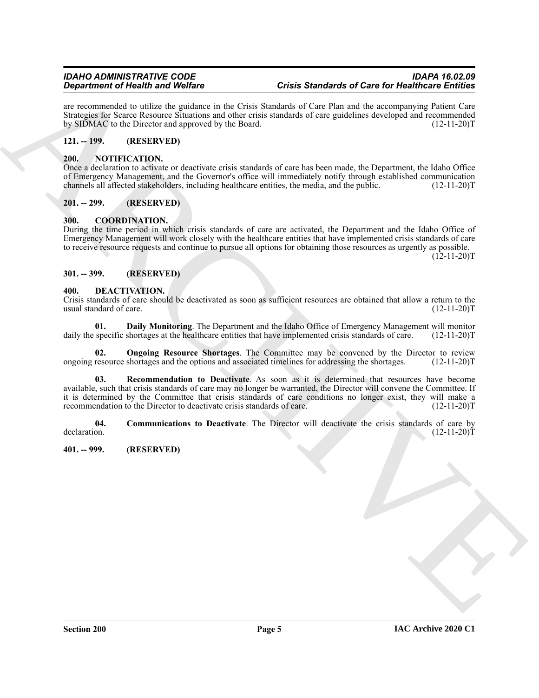are recommended to utilize the guidance in the Crisis Standards of Care Plan and the accompanying Patient Care Strategies for Scarce Resource Situations and other crisis standards of care guidelines developed and recommended by SIDMAC to the Director and approved by the Board. (12-11-20)T

# <span id="page-4-0"></span>**121. -- 199. (RESERVED)**

#### <span id="page-4-13"></span><span id="page-4-1"></span>**200. NOTIFICATION.**

Once a declaration to activate or deactivate crisis standards of care has been made, the Department, the Idaho Office of Emergency Management, and the Governor's office will immediately notify through established communication channels all affected stakeholders, including healthcare entities, the media, and the public. (12-11-20)T

### <span id="page-4-2"></span>**201. -- 299. (RESERVED)**

#### <span id="page-4-7"></span><span id="page-4-3"></span>**300. COORDINATION.**

During the time period in which crisis standards of care are activated, the Department and the Idaho Office of Emergency Management will work closely with the healthcare entities that have implemented crisis standards of care to receive resource requests and continue to pursue all options for obtaining those resources as urgently as possible.  $(12-11-20)T$ 

#### <span id="page-4-4"></span>**301. -- 399. (RESERVED)**

#### <span id="page-4-8"></span><span id="page-4-5"></span>**400. DEACTIVATION.**

Crisis standards of care should be deactivated as soon as sufficient resources are obtained that allow a return to the usual standard of care. (12-11-20)T

<span id="page-4-10"></span>**01. Daily Monitoring**. The Department and the Idaho Office of Emergency Management will monitor daily the specific shortages at the healthcare entities that have implemented crisis standards of care. (12-11-20)T

<span id="page-4-12"></span><span id="page-4-11"></span>**Ongoing Resource Shortages**. The Committee may be convened by the Director to review ongoing resource shortages and the options and associated timelines for addressing the shortages. (12-11-20)T

**Experiment of New York Construction**<br> **Constraints** and Works Construction Background of the Construction Street of the Construction Construction Construction Construction Construction Construction System Section Associa **03. Recommendation to Deactivate**. As soon as it is determined that resources have become available, such that crisis standards of care may no longer be warranted, the Director will convene the Committee. If it is determined by the Committee that crisis standards of care conditions no longer exist, they will make a recommendation to the Director to deactivate crisis standards of care. (12-11-20) recommendation to the Director to deactivate crisis standards of care.

<span id="page-4-9"></span>**04. Communications to Deactivate**. The Director will deactivate the crisis standards of care by declaration.  $(12-11-20)T$ 

<span id="page-4-6"></span>**401. -- 999. (RESERVED)**